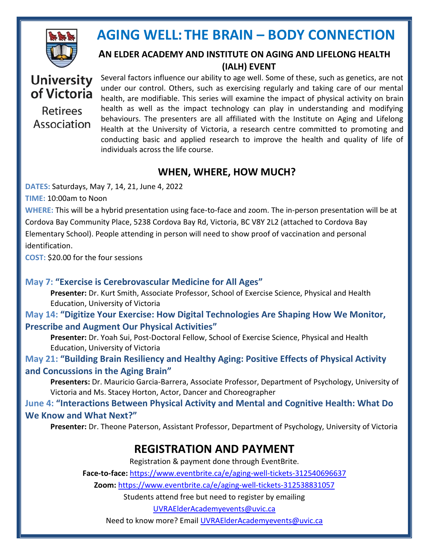

#### **AN ELDER ACADEMY AND INSTITUTE ON AGING AND LIFELONG HEALTH (IALH) EVENT**

### **University** of Victoria **Retirees** Association

Several factors influence our ability to age well. Some of these, such as genetics, are not under our control. Others, such as exercising regularly and taking care of our mental health, are modifiable. This series will examine the impact of physical activity on brain health as well as the impact technology can play in understanding and modifying behaviours. The presenters are all affiliated with the Institute on Aging and Lifelong Health at the University of Victoria, a research centre committed to promoting and conducting basic and applied research to improve the health and quality of life of individuals across the life course.

#### **WHEN, WHERE, HOW MUCH?**

**DATES:** Saturdays, May 7, 14, 21, June 4, 2022

**TIME:** 10:00am to Noon

**WHERE:** This will be a hybrid presentation using face-to-face and zoom. The in-person presentation will be at Cordova Bay Community Place, 5238 Cordova Bay Rd, Victoria, BC V8Y 2L2 (attached to Cordova Bay Elementary School). People attending in person will need to show proof of vaccination and personal identification.

**COST:** \$20.00 for the four sessions

#### **May 7: "Exercise is Cerebrovascular Medicine for All Ages"**

**Presenter:** Dr. Kurt Smith, Associate Professor, School of Exercise Science, Physical and Health Education, University of Victoria

**May 14: "Digitize Your Exercise: How Digital Technologies Are Shaping How We Monitor, Prescribe and Augment Our Physical Activities"**

**Presenter:** Dr. Yoah Sui, Post-Doctoral Fellow, School of Exercise Science, Physical and Health Education, University of Victoria

**May 21: "Building Brain Resiliency and Healthy Aging: Positive Effects of Physical Activity and Concussions in the Aging Brain"**

**Presenters:** Dr. Mauricio Garcia-Barrera, Associate Professor, Department of Psychology, University of Victoria and Ms. Stacey Horton, Actor, Dancer and Choreographer

**June 4: "Interactions Between Physical Activity and Mental and Cognitive Health: What Do We Know and What Next?"**

**Presenter:** Dr. Theone Paterson, Assistant Professor, Department of Psychology, University of Victoria

### **REGISTRATION AND PAYMENT**

Registration & payment done through EventBrite.

**Face-to-face:** <https://www.eventbrite.ca/e/aging-well-tickets-312540696637>

**Zoom:** <https://www.eventbrite.ca/e/aging-well-tickets-312538831057>

Students attend free but need to register by emailing

UVRAElderAcademyevents@uvic.ca

Need to know more? Email [UVRAElderAcademyevents@uvic.ca](mailto:UVRAElderAcademyevents@uvic.ca)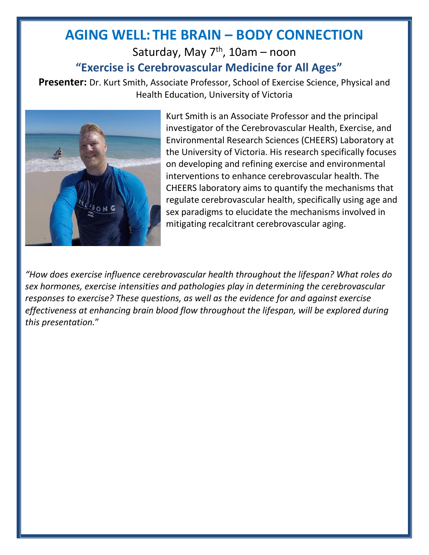### Saturday, May 7<sup>th</sup>, 10am – noon **"Exercise is Cerebrovascular Medicine for All Ages"**

**Presenter:** Dr. Kurt Smith, Associate Professor, School of Exercise Science, Physical and Health Education, University of Victoria



Kurt Smith is an Associate Professor and the principal investigator of the Cerebrovascular Health, Exercise, and Environmental Research Sciences (CHEERS) Laboratory at the University of Victoria. His research specifically focuses on developing and refining exercise and environmental interventions to enhance cerebrovascular health. The CHEERS laboratory aims to quantify the mechanisms that regulate cerebrovascular health, specifically using age and sex paradigms to elucidate the mechanisms involved in mitigating recalcitrant cerebrovascular aging.

*"How does exercise influence cerebrovascular health throughout the lifespan? What roles do sex hormones, exercise intensities and pathologies play in determining the cerebrovascular responses to exercise? These questions, as well as the evidence for and against exercise effectiveness at enhancing brain blood flow throughout the lifespan, will be explored during this presentation.*"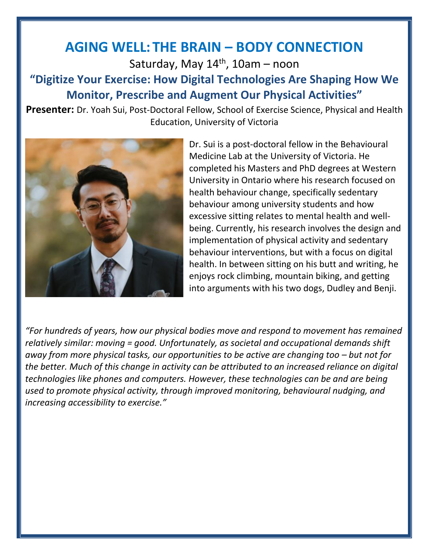Saturday, May 14<sup>th</sup>, 10am – noon

### **"Digitize Your Exercise: How Digital Technologies Are Shaping How We Monitor, Prescribe and Augment Our Physical Activities"**

**Presenter:** Dr. Yoah Sui, Post-Doctoral Fellow, School of Exercise Science, Physical and Health Education, University of Victoria



Dr. Sui is a post-doctoral fellow in the Behavioural Medicine Lab at the University of Victoria. He completed his Masters and PhD degrees at Western University in Ontario where his research focused on health behaviour change, specifically sedentary behaviour among university students and how excessive sitting relates to mental health and wellbeing. Currently, his research involves the design and implementation of physical activity and sedentary behaviour interventions, but with a focus on digital health. In between sitting on his butt and writing, he enjoys rock climbing, mountain biking, and getting into arguments with his two dogs, Dudley and Benji.

*"For hundreds of years, how our physical bodies move and respond to movement has remained relatively similar: moving = good. Unfortunately, as societal and occupational demands shift away from more physical tasks, our opportunities to be active are changing too – but not for the better. Much of this change in activity can be attributed to an increased reliance on digital technologies like phones and computers. However, these technologies can be and are being used to promote physical activity, through improved monitoring, behavioural nudging, and increasing accessibility to exercise."*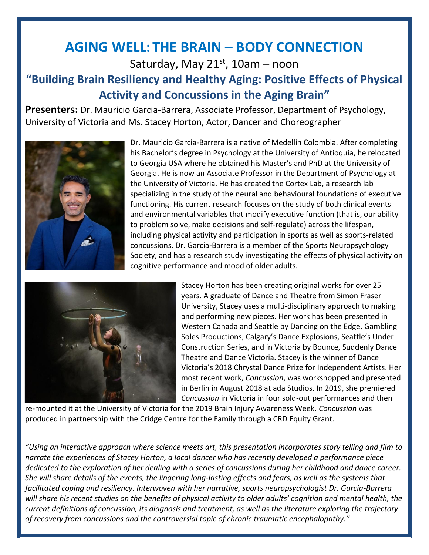Saturday, May 21st, 10am – noon

### **"Building Brain Resiliency and Healthy Aging: Positive Effects of Physical Activity and Concussions in the Aging Brain"**

**Presenters:** Dr. Mauricio Garcia-Barrera, Associate Professor, Department of Psychology, University of Victoria and Ms. Stacey Horton, Actor, Dancer and Choreographer



Dr. Mauricio Garcia-Barrera is a native of Medellin Colombia. After completing his Bachelor's degree in Psychology at the University of Antioquia, he relocated to Georgia USA where he obtained his Master's and PhD at the University of Georgia. He is now an Associate Professor in the Department of Psychology at the University of Victoria. He has created the Cortex Lab, a research lab specializing in the study of the neural and behavioural foundations of executive functioning. His current research focuses on the study of both clinical events and environmental variables that modify executive function (that is, our ability to problem solve, make decisions and self-regulate) across the lifespan, including physical activity and participation in sports as well as sports-related concussions. Dr. Garcia-Barrera is a member of the Sports Neuropsychology Society, and has a research study investigating the effects of physical activity on cognitive performance and mood of older adults.



Stacey Horton has been creating original works for over 25 years. A graduate of Dance and Theatre from Simon Fraser University, Stacey uses a multi-disciplinary approach to making and performing new pieces. Her work has been presented in Western Canada and Seattle by Dancing on the Edge, Gambling Soles Productions, Calgary's Dance Explosions, Seattle's Under Construction Series, and in Victoria by Bounce, Suddenly Dance Theatre and Dance Victoria. Stacey is the winner of Dance Victoria's 2018 Chrystal Dance Prize for Independent Artists. Her most recent work, *Concussion*, was workshopped and presented in Berlin in August 2018 at ada Studios. In 2019, she premiered *Concussion* in Victoria in four sold-out performances and then

re-mounted it at the University of Victoria for the 2019 Brain Injury Awareness Week. *Concussion* was produced in partnership with the Cridge Centre for the Family through a CRD Equity Grant.

*"Using an interactive approach where science meets art, this presentation incorporates story telling and film to narrate the experiences of Stacey Horton, a local dancer who has recently developed a performance piece dedicated to the exploration of her dealing with a series of concussions during her childhood and dance career. She will share details of the events, the lingering long-lasting effects and fears, as well as the systems that facilitated coping and resiliency. Interwoven with her narrative, sports neuropsychologist Dr. Garcia-Barrera will share his recent studies on the benefits of physical activity to older adults' cognition and mental health, the current definitions of concussion, its diagnosis and treatment, as well as the literature exploring the trajectory of recovery from concussions and the controversial topic of chronic traumatic encephalopathy."*